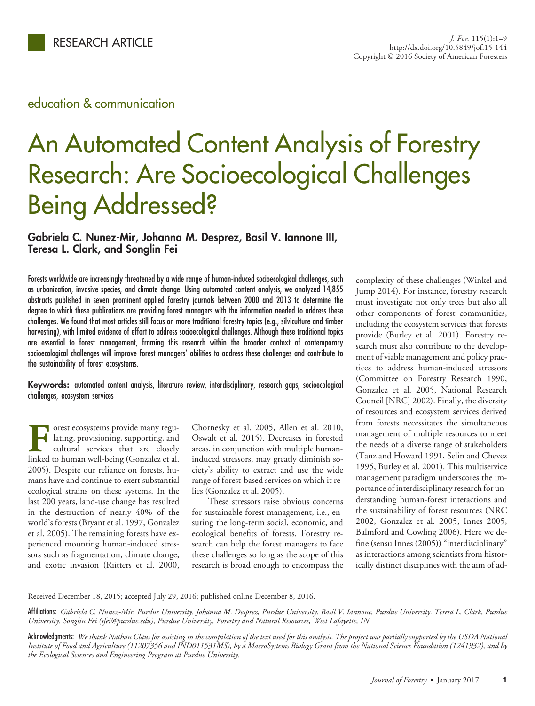## education & communication

# An Automated Content Analysis of Forestry Research: Are Socioecological Challenges Being Addressed?

## **Gabriela C. Nunez-Mir, Johanna M. Desprez, Basil V. Iannone III, Teresa L. Clark, and Songlin Fei**

Forests worldwide are increasingly threatened by a wide range of human-induced socioecological challenges, such as urbanization, invasive species, and climate change. Using automated content analysis, we analyzed 14,855 abstracts published in seven prominent applied forestry journals between 2000 and 2013 to determine the degree to which these publications are providing forest managers with the information needed to address these challenges. We found that most articles still focus on more traditional forestry topics (e.g., silviculture and timber harvesting), with limited evidence of effort to address socioecological challenges. Although these traditional topics are essential to forest management, framing this research within the broader context of contemporary socioecological challenges will improve forest managers' abilities to address these challenges and contribute to the sustainability of forest ecosystems.

**Keywords:** automated content analysis, literature review, interdisciplinary, research gaps, socioecological challenges, ecosystem services

**Forest ecosystems provide many regu**lating, provisioning, supporting, and cultural services that are closely linked to human well-being (Gonzalez et al. 2005). Despite our reliance on forests, humans have and continue to exert substantial ecological strains on these systems. In the last 200 years, land-use change has resulted in the destruction of nearly 40% of the world's forests (Bryant et al. 1997, Gonzalez et al. 2005). The remaining forests have experienced mounting human-induced stressors such as fragmentation, climate change, and exotic invasion (Riitters et al. 2000,

Chornesky et al. 2005, Allen et al. 2010, Oswalt et al. 2015). Decreases in forested areas, in conjunction with multiple humaninduced stressors, may greatly diminish society's ability to extract and use the wide range of forest-based services on which it relies (Gonzalez et al. 2005).

These stressors raise obvious concerns for sustainable forest management, i.e., ensuring the long-term social, economic, and ecological benefits of forests. Forestry research can help the forest managers to face these challenges so long as the scope of this research is broad enough to encompass the complexity of these challenges (Winkel and Jump 2014). For instance, forestry research must investigate not only trees but also all other components of forest communities, including the ecosystem services that forests provide (Burley et al. 2001). Forestry research must also contribute to the development of viable management and policy practices to address human-induced stressors (Committee on Forestry Research 1990, Gonzalez et al. 2005, National Research Council [NRC] 2002). Finally, the diversity of resources and ecosystem services derived from forests necessitates the simultaneous management of multiple resources to meet the needs of a diverse range of stakeholders (Tanz and Howard 1991, Selin and Chevez 1995, Burley et al. 2001). This multiservice management paradigm underscores the importance of interdisciplinary research for understanding human-forest interactions and the sustainability of forest resources (NRC 2002, Gonzalez et al. 2005, Innes 2005, Balmford and Cowling 2006). Here we define (sensu Innes (2005)) "interdisciplinary" as interactions among scientists from historically distinct disciplines with the aim of ad-

Received December 18, 2015; accepted July 29, 2016; published online December 8, 2016.

Affiliations: *Gabriela C. Nunez-Mir, Purdue University. Johanna M. Desprez, Purdue University. Basil V. Iannone, Purdue University. Teresa L. Clark, Purdue University. Songlin Fei (sfei@purdue.edu), Purdue University, Forestry and Natural Resources, West Lafayette, IN.*

Acknowledgments: *We thank Nathan Claus for assisting in the compilation of the text used for this analysis. The project was partially supported by the USDA National Institute of Food and Agriculture (11207356 and IND011531MS), by a MacroSystems Biology Grant from the National Science Foundation (1241932), and by the Ecological Sciences and Engineering Program at Purdue University.*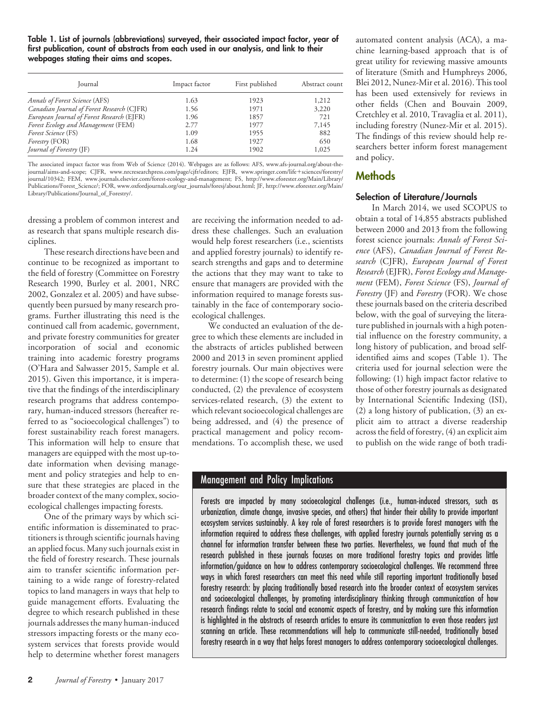**Table 1. List of journals (abbreviations) surveyed, their associated impact factor, year of first publication, count of abstracts from each used in our analysis, and link to their webpages stating their aims and scopes.**

| Journal                                    | Impact factor | First published | Abstract count |
|--------------------------------------------|---------------|-----------------|----------------|
| Annals of Forest Science (AFS)             | 1.63          | 1923            | 1,212          |
| Canadian Journal of Forest Research (CJFR) | 1.56          | 1971            | 3,220          |
| European Journal of Forest Research (EJFR) | 1.96          | 1857            | 721            |
| Forest Ecology and Management (FEM)        | 2.77          | 1977            | 7,145          |
| Forest Science (FS)                        | 1.09          | 1955            | 882            |
| <i>Forestry</i> (FOR)                      | 1.68          | 1927            | 650            |
| <i>Journal of Forestry</i> (JF)            | 1.24          | 1902            | 1,025          |

The associated impact factor was from Web of Science (2014). Webpages are as follows: AFS, www.afs-journal.org/about-thejournal/aims-and-scope; CJFR, www.nrcresearchpress.com/page/cjfr/editors; EJFR, www.springer.com/life-sciences/forestry/ journal/10342; FEM, www.journals.elsevier.com/forest-ecology-and-management; FS, http://www.eforester.org/Main/Library/ Publications/Forest\_Science/; FOR, www.oxfordjournals.org/our\_journals/foresj/about.html; JF, http://www.eforester.org/Main/ Library/Publications/Journal\_of\_Forestry/.

dressing a problem of common interest and as research that spans multiple research disciplines.

These research directions have been and continue to be recognized as important to the field of forestry (Committee on Forestry Research 1990, Burley et al. 2001, NRC 2002, Gonzalez et al. 2005) and have subsequently been pursued by many research programs. Further illustrating this need is the continued call from academic, government, and private forestry communities for greater incorporation of social and economic training into academic forestry programs (O'Hara and Salwasser 2015, Sample et al. 2015). Given this importance, it is imperative that the findings of the interdisciplinary research programs that address contemporary, human-induced stressors (hereafter referred to as "socioecological challenges") to forest sustainability reach forest managers. This information will help to ensure that managers are equipped with the most up-todate information when devising management and policy strategies and help to ensure that these strategies are placed in the broader context of the many complex, socioecological challenges impacting forests.

One of the primary ways by which scientific information is disseminated to practitioners is through scientific journals having an applied focus. Many such journals exist in the field of forestry research. These journals aim to transfer scientific information pertaining to a wide range of forestry-related topics to land managers in ways that help to guide management efforts. Evaluating the degree to which research published in these journals addresses the many human-induced stressors impacting forests or the many ecosystem services that forests provide would help to determine whether forest managers

are receiving the information needed to address these challenges. Such an evaluation would help forest researchers (i.e., scientists and applied forestry journals) to identify research strengths and gaps and to determine the actions that they may want to take to ensure that managers are provided with the information required to manage forests sustainably in the face of contemporary socioecological challenges.

We conducted an evaluation of the degree to which these elements are included in the abstracts of articles published between 2000 and 2013 in seven prominent applied forestry journals. Our main objectives were to determine: (1) the scope of research being conducted, (2) the prevalence of ecosystem services-related research, (3) the extent to which relevant socioecological challenges are being addressed, and (4) the presence of practical management and policy recommendations. To accomplish these, we used

automated content analysis (ACA), a machine learning-based approach that is of great utility for reviewing massive amounts of literature (Smith and Humphreys 2006, Blei 2012, Nunez-Mir et al. 2016). This tool has been used extensively for reviews in other fields (Chen and Bouvain 2009, Cretchley et al. 2010, Travaglia et al. 2011), including forestry (Nunez-Mir et al. 2015). The findings of this review should help researchers better inform forest management and policy.

## **Methods**

## **Selection of Literature/Journals**

In March 2014, we used SCOPUS to obtain a total of 14,855 abstracts published between 2000 and 2013 from the following forest science journals: *Annals of Forest Science* (AFS), *Canadian Journal of Forest Research* (CJFR), *European Journal of Forest Research* (EJFR), *Forest Ecology and Management* (FEM), *Forest Science* (FS), *Journal of Forestry* (JF) and *Forestry* (FOR). We chose these journals based on the criteria described below, with the goal of surveying the literature published in journals with a high potential influence on the forestry community, a long history of publication, and broad selfidentified aims and scopes (Table 1). The criteria used for journal selection were the following: (1) high impact factor relative to those of other forestry journals as designated by International Scientific Indexing (ISI), (2) a long history of publication, (3) an explicit aim to attract a diverse readership across the field of forestry, (4) an explicit aim to publish on the wide range of both tradi-

## Management and Policy Implications

Forests are impacted by many socioecological challenges (i.e., human-induced stressors, such as urbanization, climate change, invasive species, and others) that hinder their ability to provide important ecosystem services sustainably. A key role of forest researchers is to provide forest managers with the information required to address these challenges, with applied forestry journals potentially serving as a channel for information transfer between these two parties. Nevertheless, we found that much of the research published in these journals focuses on more traditional forestry topics and provides little information/guidance on how to address contemporary socioecological challenges. We recommend three ways in which forest researchers can meet this need while still reporting important traditionally based forestry research: by placing traditionally based research into the broader context of ecosystem services and socioecological challenges, by promoting interdisciplinary thinking through communication of how research findings relate to social and economic aspects of forestry, and by making sure this information is highlighted in the abstracts of research articles to ensure its communication to even those readers just scanning an article. These recommendations will help to communicate still-needed, traditionally based forestry research in a way that helps forest managers to address contemporary socioecological challenges.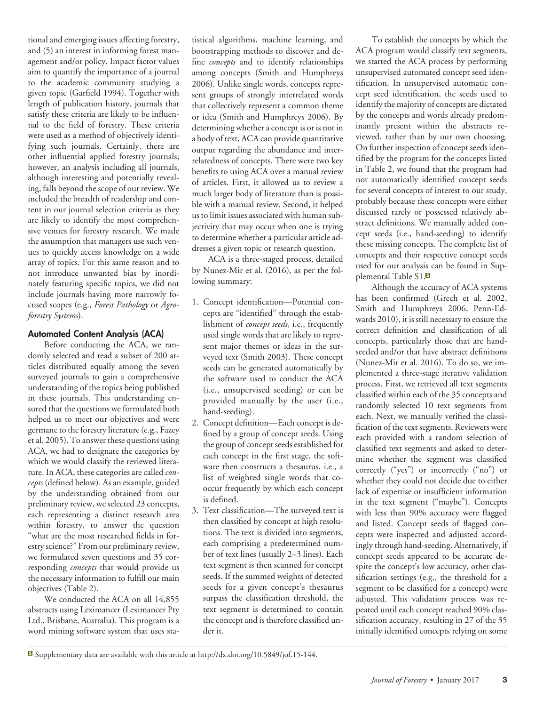tional and emerging issues affecting forestry, and (5) an interest in informing forest management and/or policy. Impact factor values aim to quantify the importance of a journal to the academic community studying a given topic (Garfield 1994). Together with length of publication history, journals that satisfy these criteria are likely to be influential to the field of forestry. These criteria were used as a method of objectively identifying such journals. Certainly, there are other influential applied forestry journals; however, an analysis including all journals, although interesting and potentially revealing, falls beyond the scope of our review. We included the breadth of readership and content in our journal selection criteria as they are likely to identify the most comprehensive venues for forestry research. We made the assumption that managers use such venues to quickly access knowledge on a wide array of topics. For this same reason and to not introduce unwanted bias by inordinately featuring specific topics, we did not include journals having more narrowly focused scopes (e.g., *Forest Pathology* or *Agroforestry Systems*).

## **Automated Content Analysis (ACA)**

Before conducting the ACA, we randomly selected and read a subset of 200 articles distributed equally among the seven surveyed journals to gain a comprehensive understanding of the topics being published in these journals. This understanding ensured that the questions we formulated both helped us to meet our objectives and were germane to the forestry literature (e.g., Fazey et al. 2005). To answer these questions using ACA, we had to designate the categories by which we would classify the reviewed literature. In ACA, these categories are called *concepts* (defined below). As an example, guided by the understanding obtained from our preliminary review, we selected 23 concepts, each representing a distinct research area within forestry, to answer the question "what are the most researched fields in forestry science?" From our preliminary review, we formulated seven questions and 35 corresponding *concepts* that would provide us the necessary information to fulfill our main objectives (Table 2).

We conducted the ACA on all 14,855 abstracts using Leximancer (Leximancer Pty Ltd., Brisbane, Australia). This program is a word mining software system that uses sta-

tistical algorithms, machine learning, and bootstrapping methods to discover and define *concepts* and to identify relationships among concepts (Smith and Humphreys 2006). Unlike single words, concepts represent groups of strongly interrelated words that collectively represent a common theme or idea (Smith and Humphreys 2006). By determining whether a concept is or is not in a body of text, ACA can provide quantitative output regarding the abundance and interrelatedness of concepts. There were two key benefits to using ACA over a manual review of articles. First, it allowed us to review a much larger body of literature than is possible with a manual review. Second, it helped us to limit issues associated with human subjectivity that may occur when one is trying to determine whether a particular article addresses a given topic or research question.

ACA is a three-staged process, detailed by Nunez-Mir et al. (2016), as per the following summary:

- 1. Concept identification—Potential concepts are "identified" through the establishment of *concept seeds*, i.e., frequently used single words that are likely to represent major themes or ideas in the surveyed text (Smith 2003). These concept seeds can be generated automatically by the software used to conduct the ACA (i.e., unsupervised seeding) or can be provided manually by the user (i.e., hand-seeding).
- 2. Concept definition—Each concept is defined by a group of concept seeds. Using the group of concept seeds established for each concept in the first stage, the software then constructs a thesaurus, i.e., a list of weighted single words that cooccur frequently by which each concept is defined.
- 3. Text classification—The surveyed text is then classified by concept at high resolutions. The text is divided into segments, each comprising a predetermined number of text lines (usually 2–3 lines). Each text segment is then scanned for concept seeds. If the summed weights of detected seeds for a given concept's thesaurus surpass the classification threshold, the text segment is determined to contain the concept and is therefore classified under it.

To establish the concepts by which the ACA program would classify text segments, we started the ACA process by performing unsupervised automated concept seed identification. In unsupervised automatic concept seed identification, the seeds used to identify the majority of concepts are dictated by the concepts and words already predominantly present within the abstracts reviewed, rather than by our own choosing. On further inspection of concept seeds identified by the program for the concepts listed in Table 2, we found that the program had not automatically identified concept seeds for several concepts of interest to our study, probably because these concepts were either discussed rarely or possessed relatively abstract definitions. We manually added concept seeds (i.e., hand-seeding) to identify these missing concepts. The complete list of concepts and their respective concept seeds used for our analysis can be found in Supplemental Table S1.<sup>8</sup>

Although the accuracy of ACA systems has been confirmed (Grech et al. 2002, Smith and Humphreys 2006, Penn-Edwards 2010), it is still necessary to ensure the correct definition and classification of all concepts, particularly those that are handseeded and/or that have abstract definitions (Nunez-Mir et al. 2016). To do so, we implemented a three-stage iterative validation process. First, we retrieved all text segments classified within each of the 35 concepts and randomly selected 10 text segments from each. Next, we manually verified the classification of the text segments. Reviewers were each provided with a random selection of classified text segments and asked to determine whether the segment was classified correctly ("yes") or incorrectly ("no") or whether they could not decide due to either lack of expertise or insufficient information in the text segment ("maybe"). Concepts with less than 90% accuracy were flagged and listed. Concept seeds of flagged concepts were inspected and adjusted accordingly through hand-seeding. Alternatively, if concept seeds appeared to be accurate despite the concept's low accuracy, other classification settings (e.g., the threshold for a segment to be classified for a concept) were adjusted. This validation process was repeated until each concept reached 90% classification accuracy, resulting in 27 of the 35 initially identified concepts relying on some

Supplementary data are available with this article at [http://dx.doi.org/10.5849/jof.15-144.](http://dx.doi.org/10.5849/jof.15-144)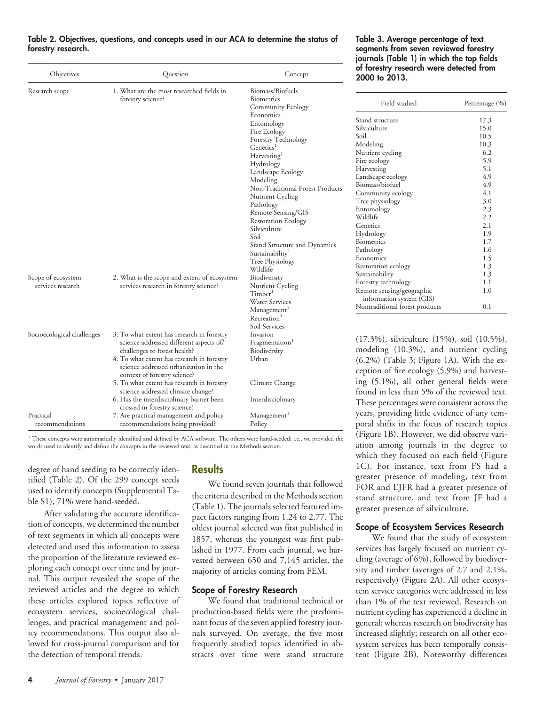| Objectives                              | Question                                                                                                                                                                                                                                     | Concept                                                                                                                                                                                                                                                                                                                                                                                                                                                                                       | of forestry rese<br>2000 to 2013.                                                                                                                                                                                                                                                                                                                                     |
|-----------------------------------------|----------------------------------------------------------------------------------------------------------------------------------------------------------------------------------------------------------------------------------------------|-----------------------------------------------------------------------------------------------------------------------------------------------------------------------------------------------------------------------------------------------------------------------------------------------------------------------------------------------------------------------------------------------------------------------------------------------------------------------------------------------|-----------------------------------------------------------------------------------------------------------------------------------------------------------------------------------------------------------------------------------------------------------------------------------------------------------------------------------------------------------------------|
| Research scope                          | 1. What are the most researched fields in<br>forestry science?                                                                                                                                                                               | Biomass/Biofuels<br>Biometrics<br>Community Ecology                                                                                                                                                                                                                                                                                                                                                                                                                                           | Field stud                                                                                                                                                                                                                                                                                                                                                            |
| Scope of ecosystem<br>services research | 2. What is the scope and extent of ecosystem<br>services research in forestry science?                                                                                                                                                       | Economics<br>Entomology<br>Fire Ecology<br><b>Forestry Technology</b><br>Genetics <sup>1</sup><br>Harvesting <sup>1</sup><br>Hydrology<br>Landscape Ecology<br>Modeling<br>Non-Traditional Forest Products<br>Nutrient Cycling<br>Pathology<br>Remote Sensing/GIS<br><b>Restoration Ecology</b><br>Silviculture<br>Soil <sup>1</sup><br>Stand Structure and Dynamics<br>Sustainability <sup>1</sup><br>Tree Physiology<br>Wildlife<br>Biodiversity<br>Nutrient Cycling<br>Timber <sup>1</sup> | Stand structure<br>Silviculture<br>Soil<br>Modeling<br>Nutrient cycling<br>Fire ecology<br>Harvesting<br>Landscape ecology<br>Biomass/biofuel<br>Community ecolog<br>Tree physiology<br>Entomology<br>Wildlife<br>Genetics<br>Hydrology<br>Biometrics<br>Pathology<br>Economics<br>Restoration ecology<br>Sustainability<br>Forestry technology<br>Remote sensing/geo |
|                                         |                                                                                                                                                                                                                                              | Water Services<br>Management <sup>1</sup><br>Recreation <sup>1</sup><br>Soil Services                                                                                                                                                                                                                                                                                                                                                                                                         | information syste<br>Nontraditional fore                                                                                                                                                                                                                                                                                                                              |
| Socioecological challenges              | 3. To what extent has research in forestry<br>science addressed different aspects of/<br>challenges to forest health?<br>4. To what extent has research in forestry<br>science addressed urbanization in the<br>context of forestry science? | Invasion<br>Fragmentation <sup>1</sup><br>Biodiversity<br>Urban                                                                                                                                                                                                                                                                                                                                                                                                                               | $(17.3%)$ , silvic<br>modeling (10.<br>$(6.2\%)$ (Table<br>ception of fire                                                                                                                                                                                                                                                                                            |
|                                         | 5. To what extent has research in forestry<br>science addressed climate change?<br>6. Has the interdisciplinary barrier been                                                                                                                 | Climate Change<br>Interdisciplinary                                                                                                                                                                                                                                                                                                                                                                                                                                                           | ing (5.1%), al<br>found in less th                                                                                                                                                                                                                                                                                                                                    |
| Practical                               | crossed in forestry science?<br>7. Are practical management and policy                                                                                                                                                                       | Management <sup>1</sup>                                                                                                                                                                                                                                                                                                                                                                                                                                                                       | These percentag<br>years, providing                                                                                                                                                                                                                                                                                                                                   |
| recommendations                         | recommendations being provided?                                                                                                                                                                                                              | Policy                                                                                                                                                                                                                                                                                                                                                                                                                                                                                        | poral shifts in                                                                                                                                                                                                                                                                                                                                                       |

#### **Table 2. Objectives, questions, and concepts used in our ACA to determine the status of forestry research.**

<sup>1</sup> These concepts were automatically identified and defined by ACA software. The others were hand-seeded; i.e., we provided the words used to identify and define the concepts in the reviewed text, as described in the Methods section.

degree of hand seeding to be correctly identified (Table 2). Of the 299 concept seeds used to identify concepts (Supplemental Table S1), 71% were hand-seeded.

After validating the accurate identification of concepts, we determined the number of text segments in which all concepts were detected and used this information to assess the proportion of the literature reviewed exploring each concept over time and by journal. This output revealed the scope of the reviewed articles and the degree to which these articles explored topics reflective of ecosystem services, socioecological challenges, and practical management and policy recommendations. This output also allowed for cross-journal comparison and for the detection of temporal trends.

## **Results**

We found seven journals that followed the criteria described in the Methods section (Table 1). The journals selected featured impact factors ranging from 1.24 to 2.77. The oldest journal selected was first published in 1857, whereas the youngest was first published in 1977. From each journal, we harvested between 650 and 7,145 articles, the majority of articles coming from FEM.

#### **Scope of Forestry Research**

We found that traditional technical or production-based fields were the predominant focus of the seven applied forestry journals surveyed. On average, the five most frequently studied topics identified in abstracts over time were stand structure

## **Table 3. Average percentage of text segments from seven reviewed forestry journals (Table 1) in which the top fields of forestry research were detected from**

| Field studied                                         | Percentage (%) |
|-------------------------------------------------------|----------------|
| Stand structure                                       | 17.3           |
| Silviculture                                          | 15.0           |
| Soil                                                  | 10.5           |
| Modeling                                              | 10.3           |
| Nutrient cycling                                      | 6.2            |
| Fire ecology                                          | 5.9            |
| Harvesting                                            | 5.1            |
| Landscape ecology                                     | 4.9            |
| Biomass/biofuel                                       | 4.9            |
| Community ecology                                     | 4.1            |
| Tree physiology                                       | 3.0            |
| Entomology                                            | 2.3            |
| Wildlife                                              | 2.2            |
| Genetics                                              | 2.1            |
| Hydrology                                             | 1.9            |
| <b>Biometrics</b>                                     | 1.7            |
| Pathology                                             | 1.6            |
| Economics                                             | 1.5            |
| Restoration ecology                                   | 1.3            |
| Sustainability                                        | 1.3            |
| Forestry technology                                   | 1.1            |
| Remote sensing/geographic<br>information system (GIS) | 1.0            |
| Nontraditional forest products                        | 0.1            |

ulture (15%), soil (10.5%),  $3\%)$ , and nutrient cycling 3; Figure 1A). With the execology (5.9%) and harvest-Il other general fields were an 5% of the reviewed text. ges were consistent across the g little evidence of any temthe focus of research topics (Figure 1B). However, we did observe variation among journals in the degree to which they focused on each field (Figure 1C). For instance, text from FS had a greater presence of modeling, text from FOR and EJFR had a greater presence of stand structure, and text from JF had a greater presence of silviculture.

## **Scope of Ecosystem Services Research**

We found that the study of ecosystem services has largely focused on nutrient cycling (average of 6%), followed by biodiversity and timber (averages of 2.7 and 2.1%, respectively) (Figure 2A). All other ecosystem service categories were addressed in less than 1% of the text reviewed. Research on nutrient cycling has experienced a decline in general; whereas research on biodiversity has increased slightly; research on all other ecosystem services has been temporally consistent (Figure 2B). Noteworthy differences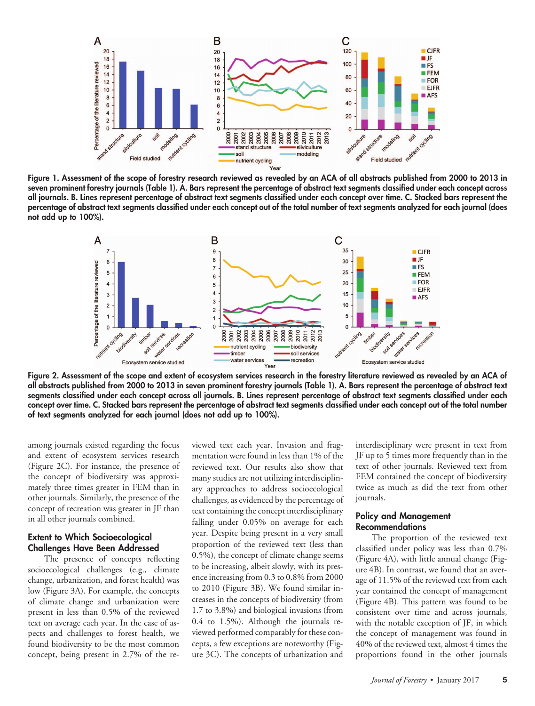

**Figure 1. Assessment of the scope of forestry research reviewed as revealed by an ACA of all abstracts published from 2000 to 2013 in seven prominent forestry journals (Table 1). A. Bars represent the percentage of abstract text segments classified under each concept across all journals. B. Lines represent percentage of abstract text segments classified under each concept over time. C. Stacked bars represent the percentage of abstract text segments classified under each concept out of the total number of text segments analyzed for each journal (does not add up to 100%).**



**Figure 2. Assessment of the scope and extent of ecosystem services research in the forestry literature reviewed as revealed by an ACA of all abstracts published from 2000 to 2013 in seven prominent forestry journals (Table 1). A. Bars represent the percentage of abstract text segments classified under each concept across all journals. B. Lines represent percentage of abstract text segments classified under each concept over time. C. Stacked bars represent the percentage of abstract text segments classified under each concept out of the total number of text segments analyzed for each journal (does not add up to 100%).**

among journals existed regarding the focus and extent of ecosystem services research (Figure 2C). For instance, the presence of the concept of biodiversity was approximately three times greater in FEM than in other journals. Similarly, the presence of the concept of recreation was greater in JF than in all other journals combined.

#### **Extent to Which Socioecological Challenges Have Been Addressed**

The presence of concepts reflecting socioecological challenges (e.g., climate change, urbanization, and forest health) was low (Figure 3A). For example, the concepts of climate change and urbanization were present in less than 0.5% of the reviewed text on average each year. In the case of aspects and challenges to forest health, we found biodiversity to be the most common concept, being present in 2.7% of the reviewed text each year. Invasion and fragmentation were found in less than 1% of the reviewed text. Our results also show that many studies are not utilizing interdisciplinary approaches to address socioecological challenges, as evidenced by the percentage of text containing the concept interdisciplinary falling under 0.05% on average for each year. Despite being present in a very small proportion of the reviewed text (less than 0.5%), the concept of climate change seems to be increasing, albeit slowly, with its presence increasing from 0.3 to 0.8% from 2000 to 2010 (Figure 3B). We found similar increases in the concepts of biodiversity (from 1.7 to 3.8%) and biological invasions (from 0.4 to 1.5%). Although the journals reviewed performed comparably for these concepts, a few exceptions are noteworthy (Figure 3C). The concepts of urbanization and

interdisciplinary were present in text from JF up to 5 times more frequently than in the text of other journals. Reviewed text from FEM contained the concept of biodiversity twice as much as did the text from other journals.

#### **Policy and Management Recommendations**

The proportion of the reviewed text classified under policy was less than 0.7% (Figure 4A), with little annual change (Figure 4B). In contrast, we found that an average of 11.5% of the reviewed text from each year contained the concept of management (Figure 4B). This pattern was found to be consistent over time and across journals, with the notable exception of JF, in which the concept of management was found in 40% of the reviewed text, almost 4 times the proportions found in the other journals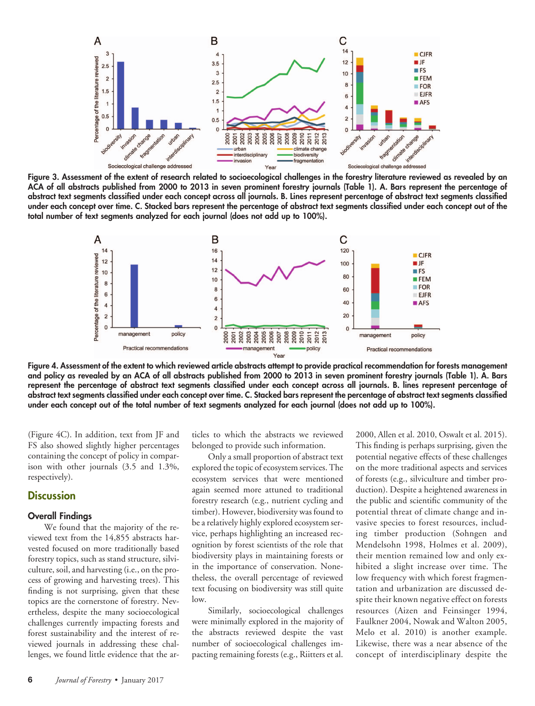

**Figure 3. Assessment of the extent of research related to socioecological challenges in the forestry literature reviewed as revealed by an ACA of all abstracts published from 2000 to 2013 in seven prominent forestry journals (Table 1). A. Bars represent the percentage of abstract text segments classified under each concept across all journals. B. Lines represent percentage of abstract text segments classified under each concept over time. C. Stacked bars represent the percentage of abstract text segments classified under each concept out of the total number of text segments analyzed for each journal (does not add up to 100%).**



**Figure 4. Assessment of the extent to which reviewed article abstracts attempt to provide practical recommendation for forests management and policy as revealed by an ACA of all abstracts published from 2000 to 2013 in seven prominent forestry journals (Table 1). A. Bars represent the percentage of abstract text segments classified under each concept across all journals. B. lines represent percentage of abstract text segments classified under each concept over time. C. Stacked bars represent the percentage of abstract text segments classified under each concept out of the total number of text segments analyzed for each journal (does not add up to 100%).**

(Figure 4C). In addition, text from JF and FS also showed slightly higher percentages containing the concept of policy in comparison with other journals (3.5 and 1.3%, respectively).

## **Discussion**

#### **Overall Findings**

We found that the majority of the reviewed text from the 14,855 abstracts harvested focused on more traditionally based forestry topics, such as stand structure, silviculture, soil, and harvesting (i.e., on the process of growing and harvesting trees). This finding is not surprising, given that these topics are the cornerstone of forestry. Nevertheless, despite the many socioecological challenges currently impacting forests and forest sustainability and the interest of reviewed journals in addressing these challenges, we found little evidence that the ar-

ticles to which the abstracts we reviewed belonged to provide such information.

Only a small proportion of abstract text explored the topic of ecosystem services. The ecosystem services that were mentioned again seemed more attuned to traditional forestry research (e.g., nutrient cycling and timber). However, biodiversity was found to be a relatively highly explored ecosystem service, perhaps highlighting an increased recognition by forest scientists of the role that biodiversity plays in maintaining forests or in the importance of conservation. Nonetheless, the overall percentage of reviewed text focusing on biodiversity was still quite low.

Similarly, socioecological challenges were minimally explored in the majority of the abstracts reviewed despite the vast number of socioecological challenges impacting remaining forests (e.g., Riitters et al.

2000, Allen et al. 2010, Oswalt et al. 2015). This finding is perhaps surprising, given the potential negative effects of these challenges on the more traditional aspects and services of forests (e.g., silviculture and timber production). Despite a heightened awareness in the public and scientific community of the potential threat of climate change and invasive species to forest resources, including timber production (Sohngen and Mendelsohn 1998, Holmes et al. 2009), their mention remained low and only exhibited a slight increase over time. The low frequency with which forest fragmentation and urbanization are discussed despite their known negative effect on forests resources (Aizen and Feinsinger 1994, Faulkner 2004, Nowak and Walton 2005, Melo et al. 2010) is another example. Likewise, there was a near absence of the concept of interdisciplinary despite the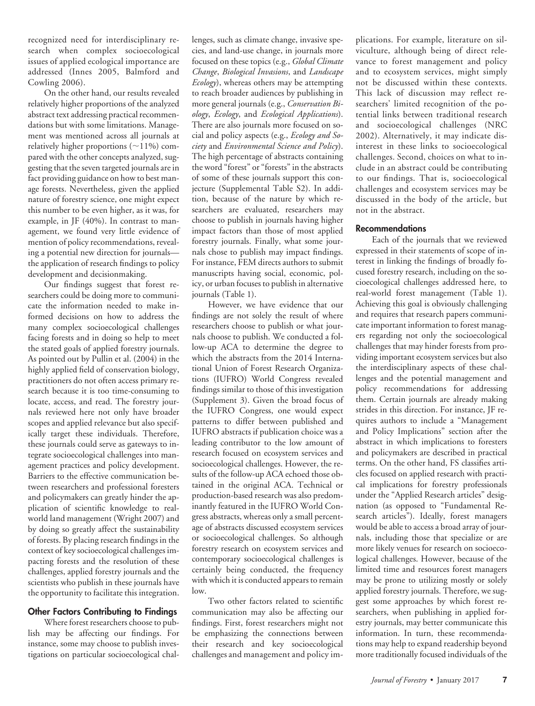recognized need for interdisciplinary research when complex socioecological issues of applied ecological importance are addressed (Innes 2005, Balmford and Cowling 2006).

On the other hand, our results revealed relatively higher proportions of the analyzed abstract text addressing practical recommendations but with some limitations. Management was mentioned across all journals at relatively higher proportions  $(\sim 11\%)$  compared with the other concepts analyzed, suggesting that the seven targeted journals are in fact providing guidance on how to best manage forests. Nevertheless, given the applied nature of forestry science, one might expect this number to be even higher, as it was, for example, in JF (40%). In contrast to management, we found very little evidence of mention of policy recommendations, revealing a potential new direction for journals the application of research findings to policy development and decisionmaking.

Our findings suggest that forest researchers could be doing more to communicate the information needed to make informed decisions on how to address the many complex socioecological challenges facing forests and in doing so help to meet the stated goals of applied forestry journals. As pointed out by Pullin et al. (2004) in the highly applied field of conservation biology, practitioners do not often access primary research because it is too time-consuming to locate, access, and read. The forestry journals reviewed here not only have broader scopes and applied relevance but also specifically target these individuals. Therefore, these journals could serve as gateways to integrate socioecological challenges into management practices and policy development. Barriers to the effective communication between researchers and professional foresters and policymakers can greatly hinder the application of scientific knowledge to realworld land management (Wright 2007) and by doing so greatly affect the sustainability of forests. By placing research findings in the context of key socioecological challenges impacting forests and the resolution of these challenges, applied forestry journals and the scientists who publish in these journals have the opportunity to facilitate this integration.

## **Other Factors Contributing to Findings**

Where forest researchers choose to publish may be affecting our findings. For instance, some may choose to publish investigations on particular socioecological chal-

lenges, such as climate change, invasive species, and land-use change, in journals more focused on these topics (e.g., *Global Climate Change*, *Biological Invasions*, and *Landscape Ecology*), whereas others may be attempting to reach broader audiences by publishing in more general journals (e.g., *Conservation Biology*, *Ecology*, and *Ecological Applications*). There are also journals more focused on social and policy aspects (e.g., *Ecology and Society* and *Environmental Science and Policy*). The high percentage of abstracts containing the word "forest" or "forests" in the abstracts of some of these journals support this conjecture (Supplemental Table S2). In addition, because of the nature by which researchers are evaluated, researchers may choose to publish in journals having higher impact factors than those of most applied forestry journals. Finally, what some journals chose to publish may impact findings. For instance, FEM directs authors to submit manuscripts having social, economic, policy, or urban focuses to publish in alternative journals (Table 1).

However, we have evidence that our findings are not solely the result of where researchers choose to publish or what journals choose to publish. We conducted a follow-up ACA to determine the degree to which the abstracts from the 2014 International Union of Forest Research Organizations (IUFRO) World Congress revealed findings similar to those of this investigation (Supplement 3). Given the broad focus of the IUFRO Congress, one would expect patterns to differ between published and IUFRO abstracts if publication choice was a leading contributor to the low amount of research focused on ecosystem services and socioecological challenges. However, the results of the follow-up ACA echoed those obtained in the original ACA. Technical or production-based research was also predominantly featured in the IUFRO World Congress abstracts, whereas only a small percentage of abstracts discussed ecosystem services or socioecological challenges. So although forestry research on ecosystem services and contemporary socioecological challenges is certainly being conducted, the frequency with which it is conducted appears to remain low.

Two other factors related to scientific communication may also be affecting our findings. First, forest researchers might not be emphasizing the connections between their research and key socioecological challenges and management and policy implications. For example, literature on silviculture, although being of direct relevance to forest management and policy and to ecosystem services, might simply not be discussed within these contexts. This lack of discussion may reflect researchers' limited recognition of the potential links between traditional research and socioecological challenges (NRC 2002). Alternatively, it may indicate disinterest in these links to socioecological challenges. Second, choices on what to include in an abstract could be contributing to our findings. That is, socioecological challenges and ecosystem services may be discussed in the body of the article, but not in the abstract.

#### **Recommendations**

Each of the journals that we reviewed expressed in their statements of scope of interest in linking the findings of broadly focused forestry research, including on the socioecological challenges addressed here, to real-world forest management (Table 1). Achieving this goal is obviously challenging and requires that research papers communicate important information to forest managers regarding not only the socioecological challenges that may hinder forests from providing important ecosystem services but also the interdisciplinary aspects of these challenges and the potential management and policy recommendations for addressing them. Certain journals are already making strides in this direction. For instance, JF requires authors to include a "Management and Policy Implications" section after the abstract in which implications to foresters and policymakers are described in practical terms. On the other hand, FS classifies articles focused on applied research with practical implications for forestry professionals under the "Applied Research articles" designation (as opposed to "Fundamental Research articles"). Ideally, forest managers would be able to access a broad array of journals, including those that specialize or are more likely venues for research on socioecological challenges. However, because of the limited time and resources forest managers may be prone to utilizing mostly or solely applied forestry journals. Therefore, we suggest some approaches by which forest researchers, when publishing in applied forestry journals, may better communicate this information. In turn, these recommendations may help to expand readership beyond more traditionally focused individuals of the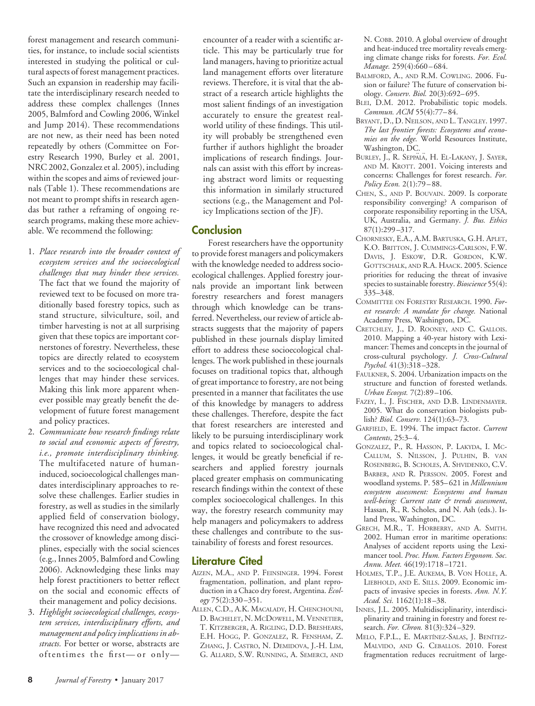forest management and research communities, for instance, to include social scientists interested in studying the political or cultural aspects of forest management practices. Such an expansion in readership may facilitate the interdisciplinary research needed to address these complex challenges (Innes 2005, Balmford and Cowling 2006, Winkel and Jump 2014). These recommendations are not new, as their need has been noted repeatedly by others (Committee on Forestry Research 1990, Burley et al. 2001, NRC 2002, Gonzalez et al. 2005), including within the scopes and aims of reviewed journals (Table 1). These recommendations are not meant to prompt shifts in research agendas but rather a reframing of ongoing research programs, making these more achievable. We recommend the following:

- 1. *Place research into the broader context of ecosystem services and the socioecological challenges that may hinder these services.* The fact that we found the majority of reviewed text to be focused on more traditionally based forestry topics, such as stand structure, silviculture, soil, and timber harvesting is not at all surprising given that these topics are important cornerstones of forestry. Nevertheless, these topics are directly related to ecosystem services and to the socioecological challenges that may hinder these services. Making this link more apparent whenever possible may greatly benefit the development of future forest management and policy practices.
- 2. *Communicate how research findings relate to social and economic aspects of forestry, i.e., promote interdisciplinary thinking.* The multifaceted nature of humaninduced, socioecological challenges mandates interdisciplinary approaches to resolve these challenges. Earlier studies in forestry, as well as studies in the similarly applied field of conservation biology, have recognized this need and advocated the crossover of knowledge among disciplines, especially with the social sciences (e.g., Innes 2005, Balmford and Cowling 2006). Acknowledging these links may help forest practitioners to better reflect on the social and economic effects of their management and policy decisions.
- 3. *Highlight socioecological challenges, ecosystem services, interdisciplinary efforts, and management and policy implications in abstracts.* For better or worse, abstracts are oftentimes the first—or only—

encounter of a reader with a scientific article. This may be particularly true for land managers, having to prioritize actual land management efforts over literature reviews. Therefore, it is vital that the abstract of a research article highlights the most salient findings of an investigation accurately to ensure the greatest realworld utility of these findings. This utility will probably be strengthened even further if authors highlight the broader implications of research findings. Journals can assist with this effort by increasing abstract word limits or requesting this information in similarly structured sections (e.g., the Management and Policy Implications section of the JF).

## **Conclusion**

Forest researchers have the opportunity to provide forest managers and policymakers with the knowledge needed to address socioecological challenges. Applied forestry journals provide an important link between forestry researchers and forest managers through which knowledge can be transferred. Nevertheless, our review of article abstracts suggests that the majority of papers published in these journals display limited effort to address these socioecological challenges. The work published in these journals focuses on traditional topics that, although of great importance to forestry, are not being presented in a manner that facilitates the use of this knowledge by managers to address these challenges. Therefore, despite the fact that forest researchers are interested and likely to be pursuing interdisciplinary work and topics related to socioecological challenges, it would be greatly beneficial if researchers and applied forestry journals placed greater emphasis on communicating research findings within the context of these complex socioecological challenges. In this way, the forestry research community may help managers and policymakers to address these challenges and contribute to the sustainability of forests and forest resources.

## **Literature Cited**

- AIZEN, M.A., AND P. FEINSINGER. 1994. Forest fragmentation, pollination, and plant reproduction in a Chaco dry forest, Argentina. *Ecology* 75(2):330–351.
- ALLEN, C.D., A.K. MACALADY, H. CHENCHOUNI, D. BACHELET, N. MCDOWELL, M. VENNETIER, T. KITZBERGER, A. RIGLING, D.D. BRESHEARS, E.H. HOGG, P. GONZALEZ, R. FENSHAM, Z. ZHANG, J. CASTRO, N. DEMIDOVA, J.-H. LIM, G. ALLARD, S.W. RUNNING, A. SEMERCI, AND

N. COBB. 2010. A global overview of drought and heat-induced tree mortality reveals emerging climate change risks for forests. *For. Ecol. Manage.* 259(4):660–684.

- BALMFORD, A., AND R.M. COWLING. 2006. Fusion or failure? The future of conservation biology. *Conserv. Biol.* 20(3):692–695.
- BLEI, D.M. 2012. Probabilistic topic models. *Commun. ACM* 55(4):77–84.
- BRYANT, D., D. NEILSON, AND L. TANGLEY. 1997. *The last frontier forests: Ecosystems and economies on the edge.* World Resources Institute, Washington, DC.
- BURLEY, J., R. SEPPALA, H. EL-LAKANY, J. SAYER, AND M. KROTT. 2001. Voicing interests and concerns: Challenges for forest research. *For. Policy Econ.* 2(1):79–88.
- CHEN, S., AND P. BOUVAIN. 2009. Is corporate responsibility converging? A comparison of corporate responsibility reporting in the USA, UK, Australia, and Germany. *J. Bus. Ethics* 87(1):299–317.
- CHORNESKY, E.A., A.M. BARTUSKA, G.H. APLET, K.O. BRITTON, J. CUMMINGS-CARLSON, F.W. DAVIS, J. ESKOW, D.R. GORDON, K.W. GOTTSCHALK, AND R.A. HAACK. 2005. Science priorities for reducing the threat of invasive species to sustainable forestry. *Bioscience* 55(4): 335–348.
- COMMITTEE ON FORESTRY RESEARCH. 1990. *Forest research: A mandate for change.* National Academy Press, Washington, DC.
- CRETCHLEY, J., D. ROONEY, AND C. GALLOIS. 2010. Mapping a 40-year history with Leximancer: Themes and concepts in the journal of cross-cultural psychology. *J. Cross-Cultural Psychol.* 41(3):318–328.
- FAULKNER, S. 2004. Urbanization impacts on the structure and function of forested wetlands. *Urban Ecosyst.* 7(2):89–106.
- FAZEY, I., J. FISCHER, AND D.B. LINDENMAYER. 2005. What do conservation biologists publish? *Biol. Conserv.* 124(1):63–73.
- GARFIELD, E. 1994. The impact factor. *Current Contents*, 25:3–4.
- GONZALEZ, P., R. HASSON, P. LAKYDA, I. MC-CALLUM, S. NILSSON, J. PULHIN, B. VAN ROSENBERG, B. SCHOLES, A. SHVIDENKO, C.V. BARBER, AND R. PERSSON. 2005. Forest and woodland systems. P. 585–621 in *Millennium ecosystem assessment: Ecosystems and human well-being: Current state & trends assessment*, Hassan, R., R. Scholes, and N. Ash (eds.). Island Press, Washington, DC.
- GRECH, M.R., T. HORBERRY, AND A. SMITH. 2002. Human error in maritime operations: Analyses of accident reports using the Leximancer tool. *Proc. Hum. Factors Ergonom. Soc. Annu. Meet.* 46(19):1718–1721.
- HOLMES, T.P., J.E. AUKEMA, B. VON HOLLE, A. LIEBHOLD, AND E. SILLS. 2009. Economic impacts of invasive species in forests. *Ann. N.Y. Acad. Sci.* 1162(1):18–38.
- INNES, J.L. 2005. Multidisciplinarity, interdisciplinarity and training in forestry and forest research. *For. Chron.* 81(3):324–329.
- MELO, F.P.L., E. MARTÍNEZ-SALAS, J. BENÍTEZ-MALVIDO, AND G. CEBALLOS. 2010. Forest fragmentation reduces recruitment of large-